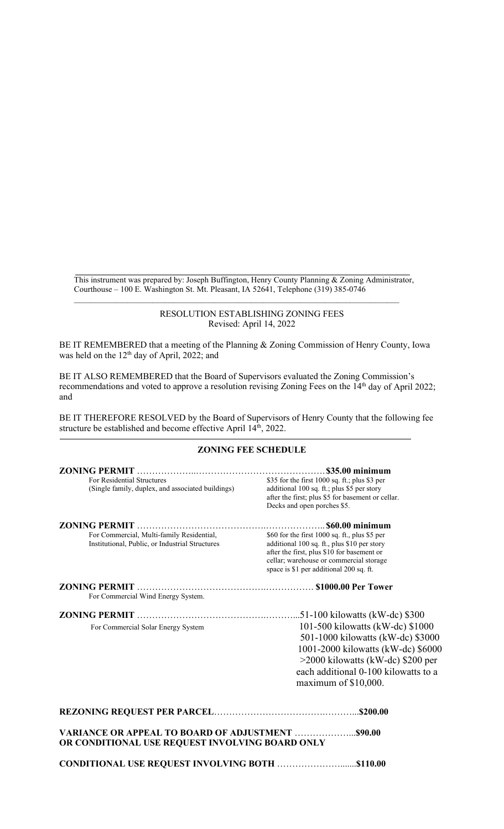This instrument was prepared by: Joseph Buffington, Henry County Planning & Zoning Administrator, Courthouse – 100 E. Washington St. Mt. Pleasant, IA 52641, Telephone (319) 385-0746

\_\_\_\_\_\_\_\_\_\_\_\_\_\_\_\_\_\_\_\_\_\_\_\_\_\_\_\_\_\_\_\_\_\_\_\_\_\_\_\_\_\_\_\_\_\_\_\_\_\_\_\_\_\_\_\_\_\_\_\_\_\_\_\_\_\_\_\_\_\_\_\_\_\_\_\_\_\_\_

## RESOLUTION ESTABLISHING ZONING FEES Revised: April 14, 2022

BE IT REMEMBERED that a meeting of the Planning & Zoning Commission of Henry County, Iowa was held on the 12<sup>th</sup> day of April, 2022; and

BE IT ALSO REMEMBERED that the Board of Supervisors evaluated the Zoning Commission's recommendations and voted to approve a resolution revising Zoning Fees on the 14<sup>th</sup> day of April 2022; and

BE IT THEREFORE RESOLVED by the Board of Supervisors of Henry County that the following fee structure be established and become effective April 14<sup>th</sup>, 2022.

## **ZONING FEE SCHEDULE**

|                                                                                              | \$35.00 minimum                                                                                                                                                                                                                    |
|----------------------------------------------------------------------------------------------|------------------------------------------------------------------------------------------------------------------------------------------------------------------------------------------------------------------------------------|
| For Residential Structures<br>(Single family, duplex, and associated buildings)              | \$35 for the first 1000 sq. ft.; plus \$3 per<br>additional 100 sq. ft.; plus \$5 per story<br>after the first; plus \$5 for basement or cellar.<br>Decks and open porches \$5.                                                    |
|                                                                                              |                                                                                                                                                                                                                                    |
| For Commercial, Multi-family Residential,<br>Institutional, Public, or Industrial Structures | \$60 for the first $1000$ sq. ft., plus \$5 per<br>additional 100 sq. ft., plus \$10 per story<br>after the first, plus \$10 for basement or<br>cellar; warehouse or commercial storage<br>space is \$1 per additional 200 sq. ft. |
| For Commercial Wind Energy System.                                                           |                                                                                                                                                                                                                                    |
|                                                                                              | 51-100 kilowatts (kW-dc) \$300                                                                                                                                                                                                     |
| For Commercial Solar Energy System                                                           | 101-500 kilowatts (kW-dc) \$1000<br>501-1000 kilowatts (kW-dc) \$3000<br>1001-2000 kilowatts (kW-dc) \$6000<br>>2000 kilowatts (kW-dc) \$200 per<br>each additional 0-100 kilowatts to a<br>maximum of $$10,000$ .                 |
|                                                                                              |                                                                                                                                                                                                                                    |
| OR CONDITIONAL USE REQUEST INVOLVING BOARD ONLY                                              |                                                                                                                                                                                                                                    |

**CONDITIONAL USE REQUEST INVOLVING BOTH** ………………….......**\$110.00**